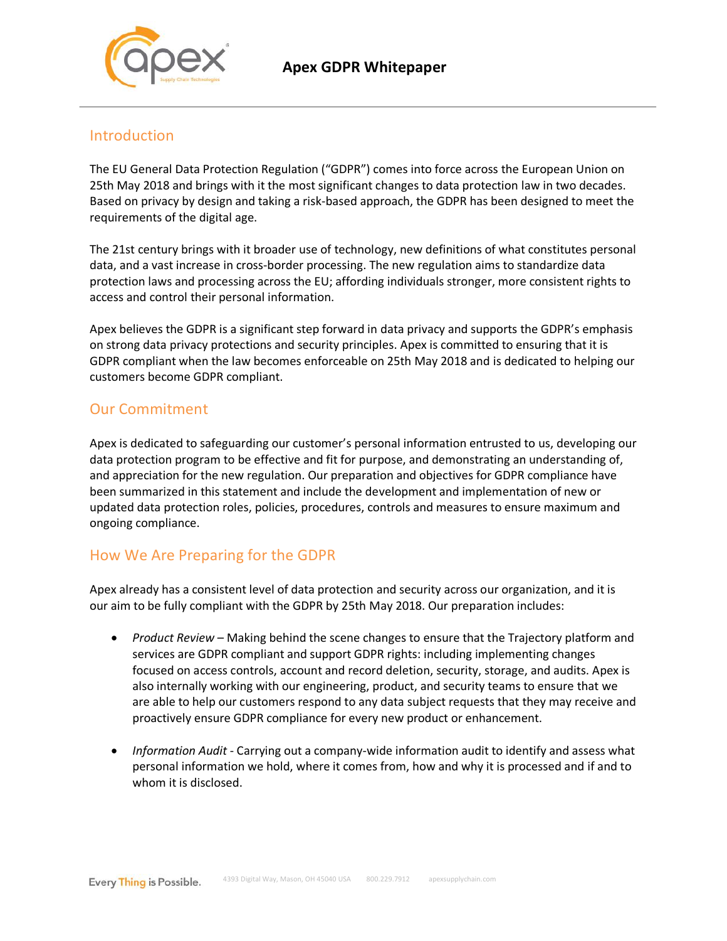



## Introduction

The EU General Data Protection Regulation ("GDPR") comes into force across the European Union on 25th May 2018 and brings with it the most significant changes to data protection law in two decades. Based on privacy by design and taking a risk-based approach, the GDPR has been designed to meet the requirements of the digital age.

The 21st century brings with it broader use of technology, new definitions of what constitutes personal data, and a vast increase in cross-border processing. The new regulation aims to standardize data protection laws and processing across the EU; affording individuals stronger, more consistent rights to access and control their personal information.

Apex believes the GDPR is a significant step forward in data privacy and supports the GDPR's emphasis on strong data privacy protections and security principles. Apex is committed to ensuring that it is GDPR compliant when the law becomes enforceable on 25th May 2018 and is dedicated to helping our customers become GDPR compliant.

# Our Commitment

Apex is dedicated to safeguarding our customer's personal information entrusted to us, developing our data protection program to be effective and fit for purpose, and demonstrating an understanding of, and appreciation for the new regulation. Our preparation and objectives for GDPR compliance have been summarized in this statement and include the development and implementation of new or updated data protection roles, policies, procedures, controls and measures to ensure maximum and ongoing compliance.

# How We Are Preparing for the GDPR

Apex already has a consistent level of data protection and security across our organization, and it is our aim to be fully compliant with the GDPR by 25th May 2018. Our preparation includes:

- *Product Review* Making behind the scene changes to ensure that the Trajectory platform and services are GDPR compliant and support GDPR rights: including implementing changes focused on access controls, account and record deletion, security, storage, and audits. Apex is also internally working with our engineering, product, and security teams to ensure that we are able to help our customers respond to any data subject requests that they may receive and proactively ensure GDPR compliance for every new product or enhancement.
- *Information Audit* Carrying out a company-wide information audit to identify and assess what personal information we hold, where it comes from, how and why it is processed and if and to whom it is disclosed.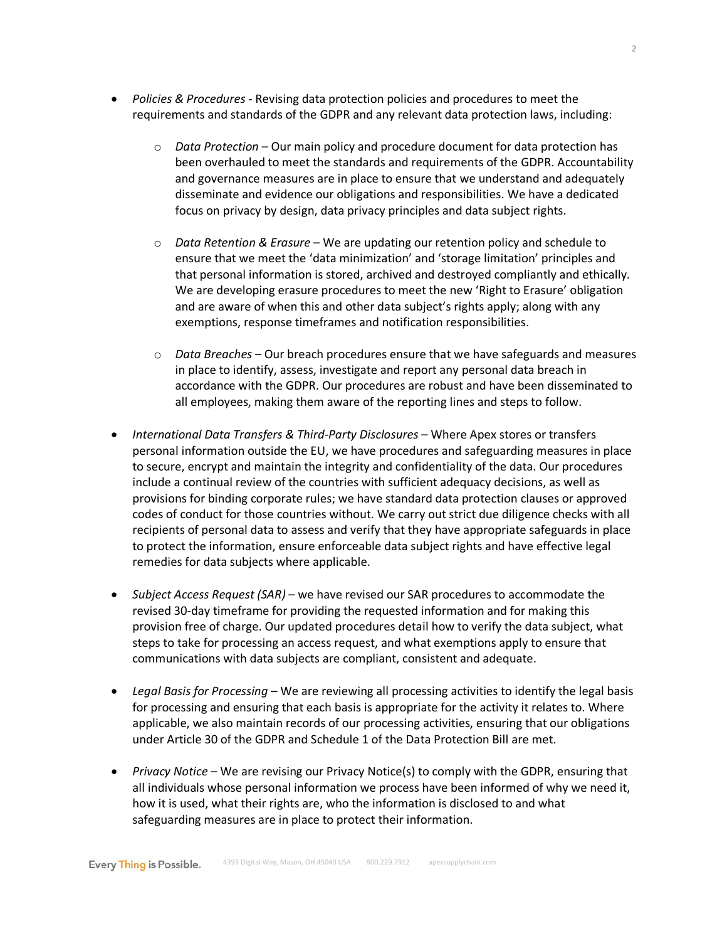- *Policies & Procedures* Revising data protection policies and procedures to meet the requirements and standards of the GDPR and any relevant data protection laws, including:
	- o *Data Protection* Our main policy and procedure document for data protection has been overhauled to meet the standards and requirements of the GDPR. Accountability and governance measures are in place to ensure that we understand and adequately disseminate and evidence our obligations and responsibilities. We have a dedicated focus on privacy by design, data privacy principles and data subject rights.
	- o *Data Retention & Erasure* We are updating our retention policy and schedule to ensure that we meet the 'data minimization' and 'storage limitation' principles and that personal information is stored, archived and destroyed compliantly and ethically. We are developing erasure procedures to meet the new 'Right to Erasure' obligation and are aware of when this and other data subject's rights apply; along with any exemptions, response timeframes and notification responsibilities.
	- o *Data Breaches* Our breach procedures ensure that we have safeguards and measures in place to identify, assess, investigate and report any personal data breach in accordance with the GDPR. Our procedures are robust and have been disseminated to all employees, making them aware of the reporting lines and steps to follow.
- *International Data Transfers & Third-Party Disclosures* Where Apex stores or transfers personal information outside the EU, we have procedures and safeguarding measures in place to secure, encrypt and maintain the integrity and confidentiality of the data. Our procedures include a continual review of the countries with sufficient adequacy decisions, as well as provisions for binding corporate rules; we have standard data protection clauses or approved codes of conduct for those countries without. We carry out strict due diligence checks with all recipients of personal data to assess and verify that they have appropriate safeguards in place to protect the information, ensure enforceable data subject rights and have effective legal remedies for data subjects where applicable.
- *Subject Access Request (SAR)* we have revised our SAR procedures to accommodate the revised 30-day timeframe for providing the requested information and for making this provision free of charge. Our updated procedures detail how to verify the data subject, what steps to take for processing an access request, and what exemptions apply to ensure that communications with data subjects are compliant, consistent and adequate.
- *Legal Basis for Processing* We are reviewing all processing activities to identify the legal basis for processing and ensuring that each basis is appropriate for the activity it relates to. Where applicable, we also maintain records of our processing activities, ensuring that our obligations under Article 30 of the GDPR and Schedule 1 of the Data Protection Bill are met.
- *Privacy Notice* We are revising our Privacy Notice(s) to comply with the GDPR, ensuring that all individuals whose personal information we process have been informed of why we need it, how it is used, what their rights are, who the information is disclosed to and what safeguarding measures are in place to protect their information.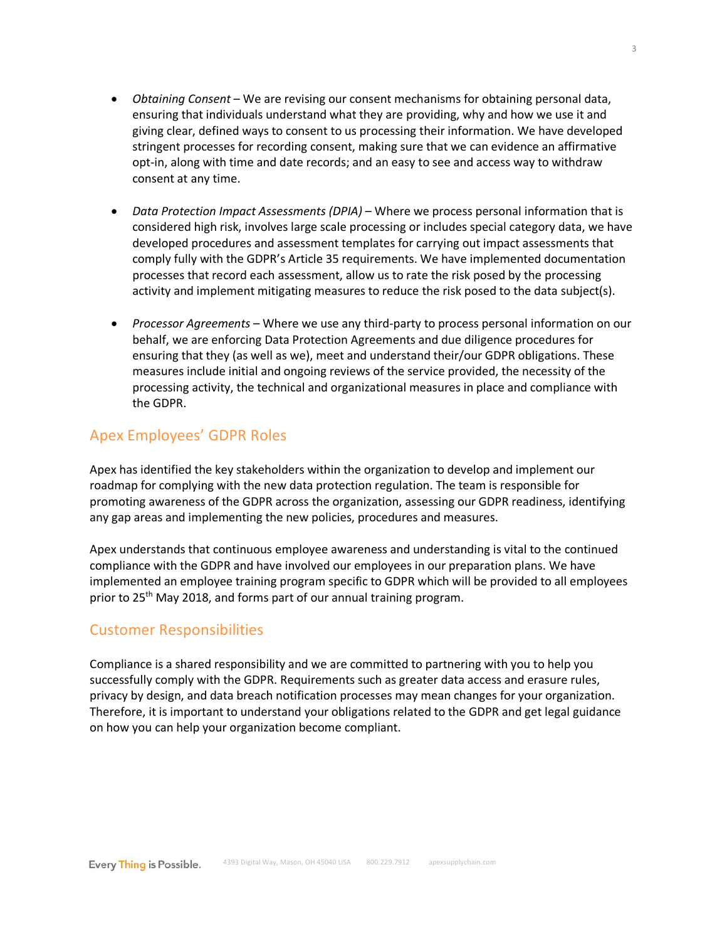- *Obtaining Consent* We are revising our consent mechanisms for obtaining personal data, ensuring that individuals understand what they are providing, why and how we use it and giving clear, defined ways to consent to us processing their information. We have developed stringent processes for recording consent, making sure that we can evidence an affirmative opt-in, along with time and date records; and an easy to see and access way to withdraw consent at any time.
- *Data Protection Impact Assessments (DPIA)*  Where we process personal information that is considered high risk, involves large scale processing or includes special category data, we have developed procedures and assessment templates for carrying out impact assessments that comply fully with the GDPR's Article 35 requirements. We have implemented documentation processes that record each assessment, allow us to rate the risk posed by the processing activity and implement mitigating measures to reduce the risk posed to the data subject(s).
- *Processor Agreements* Where we use any third-party to process personal information on our behalf, we are enforcing Data Protection Agreements and due diligence procedures for ensuring that they (as well as we), meet and understand their/our GDPR obligations. These measures include initial and ongoing reviews of the service provided, the necessity of the processing activity, the technical and organizational measures in place and compliance with the GDPR.

## Apex Employees' GDPR Roles

Apex has identified the key stakeholders within the organization to develop and implement our roadmap for complying with the new data protection regulation. The team is responsible for promoting awareness of the GDPR across the organization, assessing our GDPR readiness, identifying any gap areas and implementing the new policies, procedures and measures.

Apex understands that continuous employee awareness and understanding is vital to the continued compliance with the GDPR and have involved our employees in our preparation plans. We have implemented an employee training program specific to GDPR which will be provided to all employees prior to 25<sup>th</sup> May 2018, and forms part of our annual training program.

### Customer Responsibilities

Compliance is a shared responsibility and we are committed to partnering with you to help you successfully comply with the GDPR. Requirements such as greater data access and erasure rules, privacy by design, and data breach notification processes may mean changes for your organization. Therefore, it is important to understand your obligations related to the GDPR and get legal guidance on how you can help your organization become compliant.

3